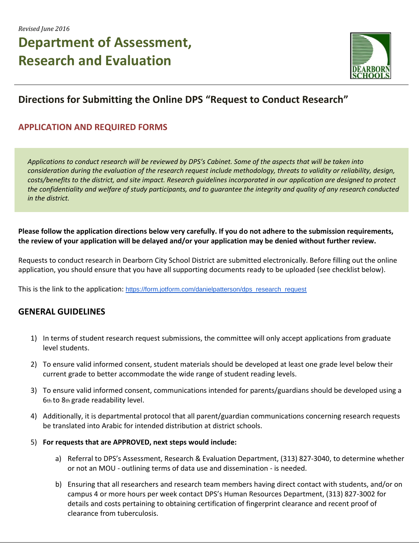# **Department of Assessment, Research and Evaluation**



### **Directions for Submitting the Online DPS "Request to Conduct Research"**

### **APPLICATION AND REQUIRED FORMS**

*Applications to conduct research will be reviewed by DPS's Cabinet. Some of the aspects that will be taken into consideration during the evaluation of the research request include methodology, threats to validity or reliability, design, costs/benefits to the district, and site impact. Research guidelines incorporated in our application are designed to protect the confidentiality and welfare of study participants, and to guarantee the integrity and quality of any research conducted in the district.* 

#### **Please follow the application directions below very carefully. If you do not adhere to the submission requirements, the review of your application will be delayed and/or your application may be denied without further review.**

Requests to conduct research in Dearborn City School District are submitted electronically. Before filling out the online application, you should ensure that you have all supporting documents ready to be uploaded (see checklist below).

This is the link to the application: [https://form.jotform.com/danielpatterson/dps\\_research\\_request](https://form.jotform.com/danielpatterson/dps_research_request)

### **GENERAL GUIDELINES**

- 1) In terms of student research request submissions, the committee will only accept applications from graduate level students.
- 2) To ensure valid informed consent, student materials should be developed at least one grade level below their current grade to better accommodate the wide range of student reading levels.
- 3) To ensure valid informed consent, communications intended for parents/guardians should be developed using a 6th to 8th grade readability level.
- 4) Additionally, it is departmental protocol that all parent/guardian communications concerning research requests be translated into Arabic for intended distribution at district schools.
- 5) **For requests that are APPROVED, next steps would include:** 
	- a) Referral to DPS's Assessment, Research & Evaluation Department, (313) 827-3040, to determine whether or not an MOU - outlining terms of data use and dissemination - is needed.
	- b) Ensuring that all researchers and research team members having direct contact with students, and/or on campus 4 or more hours per week contact DPS's Human Resources Department, (313) 827-3002 for details and costs pertaining to obtaining certification of fingerprint clearance and recent proof of clearance from tuberculosis.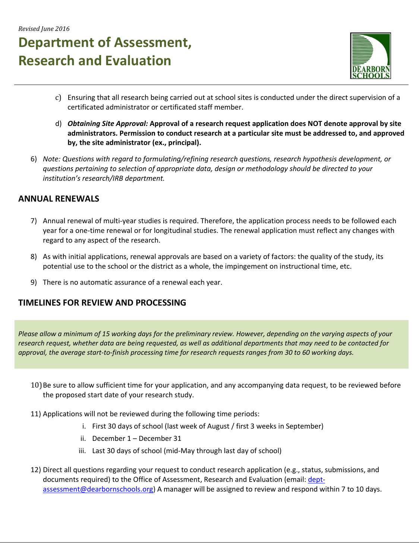# **Department of Assessment, Research and Evaluation**



- c) Ensuring that all research being carried out at school sites is conducted under the direct supervision of a certificated administrator or certificated staff member.
- d) *Obtaining Site Approval:* **Approval of a research request application does NOT denote approval by site administrators. Permission to conduct research at a particular site must be addressed to, and approved by, the site administrator (ex., principal).**
- 6) *Note: Questions with regard to formulating/refining research questions, research hypothesis development, or questions pertaining to selection of appropriate data, design or methodology should be directed to your institution's research/IRB department.*

#### **ANNUAL RENEWALS**

- 7) Annual renewal of multi-year studies is required. Therefore, the application process needs to be followed each year for a one-time renewal or for longitudinal studies. The renewal application must reflect any changes with regard to any aspect of the research.
- 8) As with initial applications, renewal approvals are based on a variety of factors: the quality of the study, its potential use to the school or the district as a whole, the impingement on instructional time, etc.
- 9) There is no automatic assurance of a renewal each year.

#### **TIMELINES FOR REVIEW AND PROCESSING**

*Please allow a minimum of 15 working days for the preliminary review. However, depending on the varying aspects of your research request, whether data are being requested, as well as additional departments that may need to be contacted for approval, the average start-to-finish processing time for research requests ranges from 30 to 60 working days.* 

- 10)Be sure to allow sufficient time for your application, and any accompanying data request, to be reviewed before the proposed start date of your research study.
- 11) Applications will not be reviewed during the following time periods:
	- i. First 30 days of school (last week of August / first 3 weeks in September)
	- ii. December 1 December 31
	- iii. Last 30 days of school (mid-May through last day of school)
- 12) Direct all questions regarding your request to conduct research application (e.g., status, submissions, and documents required) to the Office of Assessment, Research and Evaluation (email: [dept](mailto:dept-assessment@dearbornschools.org)[assessment@dearbornschools.org\)](mailto:dept-assessment@dearbornschools.org) A manager will be assigned to review and respond within 7 to 10 days.